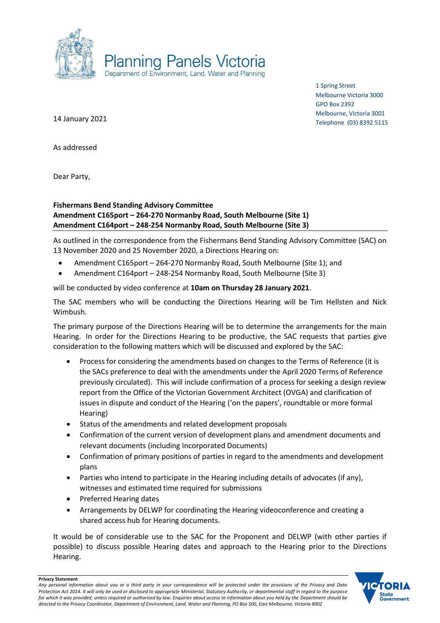

1 Spring Street Melbourne Victoria 3000 GPO Box 2392 Melbourne, Victoria 3001 Telephone (03) 8392 5115

14 January 2021

As addressed

Dear Party,

## **Fishermans Bend Standing Advisory Committee Amendment C165port – 264-270 Normanby Road, South Melbourne (Site 1) Amendment C164port – 248-254 Normanby Road, South Melbourne (Site 3)**

As outlined in the correspondence from the Fishermans Bend Standing Advisory Committee (SAC) on 13 November 2020 and 25 November 2020, a Directions Hearing on:

- Amendment C165port 264-270 Normanby Road, South Melbourne (Site 1); and
- Amendment C164port 248-254 Normanby Road, South Melbourne (Site 3)

will be conducted by video conference at **10am on Thursday 28 January 2021**.

The SAC members who will be conducting the Directions Hearing will be Tim Hellsten and Nick Wimbush.

The primary purpose of the Directions Hearing will be to determine the arrangements for the main Hearing. In order for the Directions Hearing to be productive, the SAC requests that parties give consideration to the following matters which will be discussed and explored by the SAC:

- Process for considering the amendments based on changes to the Terms of Reference (it is the SACs preference to deal with the amendments under the April 2020 Terms of Reference previously circulated). This will include confirmation of a process for seeking a design review report from the Office of the Victorian Government Architect (OVGA) and clarification of issues in dispute and conduct of the Hearing ('on the papers', roundtable or more formal Hearing)
- Status of the amendments and related development proposals
- Confirmation of the current version of development plans and amendment documents and relevant documents (including Incorporated Documents)
- Confirmation of primary positions of parties in regard to the amendments and development plans
- Parties who intend to participate in the Hearing including details of advocates (if any), witnesses and estimated time required for submissions
- Preferred Hearing dates
- Arrangements by DELWP for coordinating the Hearing videoconference and creating a shared access hub for Hearing documents.

It would be of considerable use to the SAC for the Proponent and DELWP (with other parties if possible) to discuss possible Hearing dates and approach to the Hearing prior to the Directions Hearing.